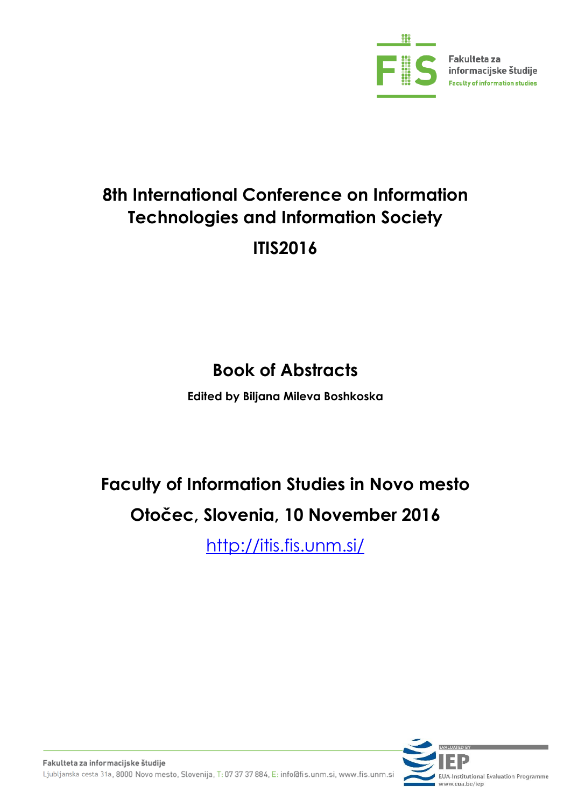

# **8th International Conference on Information Technologies and Information Society ITIS2016**

# **Book of Abstracts**

**Edited by Biljana Mileva Boshkoska**

# **Faculty of Information Studies in Novo mesto Otočec, Slovenia, 10 November 2016**

[http://itis.fis.unm.si/](http://itis2014.fis.unm.si/)

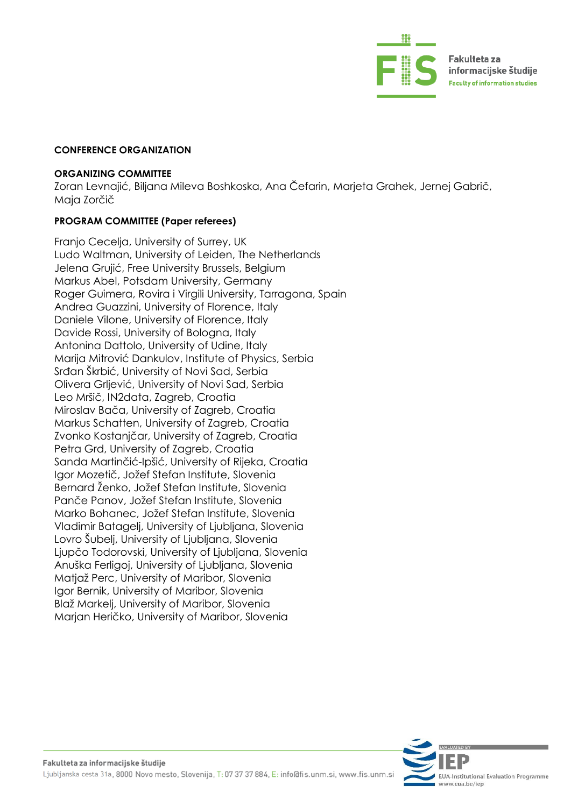

#### **CONFERENCE ORGANIZATION**

#### **ORGANIZING COMMITTEE**

Zoran Levnajić, Biljana Mileva Boshkoska, Ana Čefarin, Marjeta Grahek, Jernej Gabrič, Maja Zorčič

#### **PROGRAM COMMITTEE (Paper referees)**

Franjo Cecelja, University of Surrey, UK Ludo Waltman, University of Leiden, The Netherlands Jelena Grujić, Free University Brussels, Belgium Markus Abel, Potsdam University, Germany Roger Guimera, Rovira i Virgili University, Tarragona, Spain Andrea Guazzini, University of Florence, Italy Daniele Vilone, University of Florence, Italy Davide Rossi, University of Bologna, Italy Antonina Dattolo, University of Udine, Italy Marija Mitrović Dankulov, Institute of Physics, Serbia Srđan Škrbić, University of Novi Sad, Serbia Olivera Grljević, University of Novi Sad, Serbia Leo Mršič, IN2data, Zagreb, Croatia Miroslav Bača, University of Zagreb, Croatia Markus Schatten, University of Zagreb, Croatia Zvonko Kostanjčar, University of Zagreb, Croatia Petra Grd, University of Zagreb, Croatia Sanda Martinčić-Ipšić, University of Rijeka, Croatia Igor Mozetič, Jožef Stefan Institute, Slovenia Bernard Ženko, Jožef Stefan Institute, Slovenia Panče Panov, Jožef Stefan Institute, Slovenia Marko Bohanec, Jožef Stefan Institute, Slovenia Vladimir Batagelj, University of Ljubljana, Slovenia Lovro Šubelj, University of Ljubljana, Slovenia Ljupčo Todorovski, University of Ljubljana, Slovenia Anuška Ferligoj, University of Ljubljana, Slovenia Matjaž Perc, University of Maribor, Slovenia Igor Bernik, University of Maribor, Slovenia Blaž Markelj, University of Maribor, Slovenia Marjan Heričko, University of Maribor, Slovenia

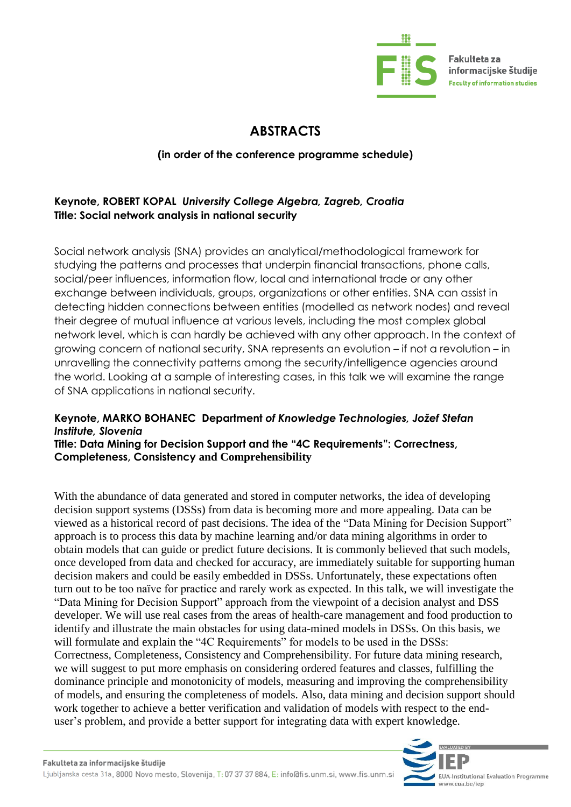

Fakulteta za informacijske študije **Faculty of information studies** 

# **ABSTRACTS**

# **(in order of the conference programme schedule)**

# **Keynote, [ROBERT KOPAL](https://hr.linkedin.com/in/robert-kopal-ph-d-40b66047)** *University College Algebra, Zagreb, Croatia* **Title: Social network analysis in national security**

Social network analysis (SNA) provides an analytical/methodological framework for studying the patterns and processes that underpin financial transactions, phone calls, social/peer influences, information flow, local and international trade or any other exchange between individuals, groups, organizations or other entities. SNA can assist in detecting hidden connections between entities (modelled as network nodes) and reveal their degree of mutual influence at various levels, including the most complex global network level, which is can hardly be achieved with any other approach. In the context of growing concern of national security, SNA represents an evolution – if not a revolution – in unravelling the connectivity patterns among the security/intelligence agencies around the world. Looking at a sample of interesting cases, in this talk we will examine the range of SNA applications in national security.

# **Keynote, [MARKO BOHANEC](http://kt.ijs.si/MarkoBohanec/mare.html) Department** *of Knowledge Technologies, Jožef Stefan Institute, Slovenia*

**Title: Data Mining for Decision Support and the "4C Requirements": Correctness, Completeness, Consistency and Comprehensibility**

With the abundance of data generated and stored in computer networks, the idea of developing decision support systems (DSSs) from data is becoming more and more appealing. Data can be viewed as a historical record of past decisions. The idea of the "Data Mining for Decision Support" approach is to process this data by machine learning and/or data mining algorithms in order to obtain models that can guide or predict future decisions. It is commonly believed that such models, once developed from data and checked for accuracy, are immediately suitable for supporting human decision makers and could be easily embedded in DSSs. Unfortunately, these expectations often turn out to be too naïve for practice and rarely work as expected. In this talk, we will investigate the "Data Mining for Decision Support" approach from the viewpoint of a decision analyst and DSS developer. We will use real cases from the areas of health-care management and food production to identify and illustrate the main obstacles for using data-mined models in DSSs. On this basis, we will formulate and explain the "4C Requirements" for models to be used in the DSSs: Correctness, Completeness, Consistency and Comprehensibility. For future data mining research, we will suggest to put more emphasis on considering ordered features and classes, fulfilling the dominance principle and monotonicity of models, measuring and improving the comprehensibility of models, and ensuring the completeness of models. Also, data mining and decision support should work together to achieve a better verification and validation of models with respect to the enduser's problem, and provide a better support for integrating data with expert knowledge.

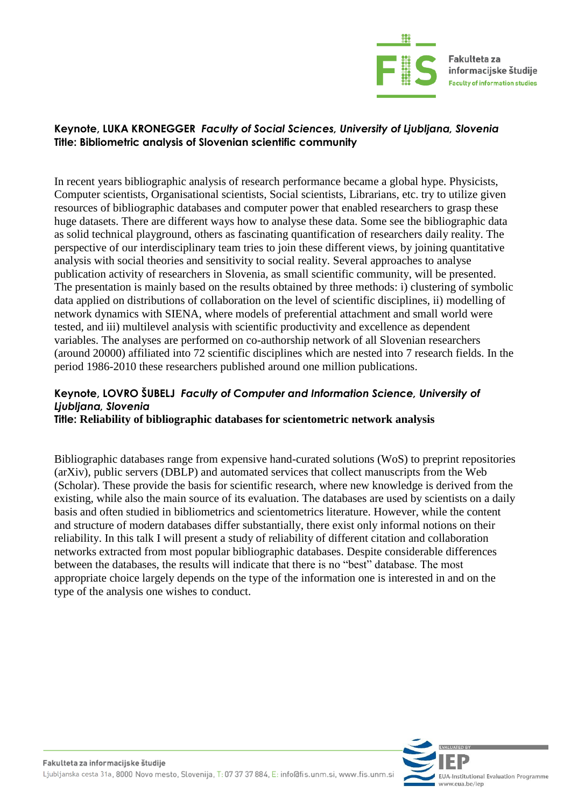

# **Keynote, [LUKA KRONEGGER](http://www.cmi-fdv.si/kronglc/)** *Faculty of Social Sciences, University of Ljubljana, Slovenia* **Title: Bibliometric analysis of Slovenian scientific community**

In recent years bibliographic analysis of research performance became a global hype. Physicists, Computer scientists, Organisational scientists, Social scientists, Librarians, etc. try to utilize given resources of bibliographic databases and computer power that enabled researchers to grasp these huge datasets. There are different ways how to analyse these data. Some see the bibliographic data as solid technical playground, others as fascinating quantification of researchers daily reality. The perspective of our interdisciplinary team tries to join these different views, by joining quantitative analysis with social theories and sensitivity to social reality. Several approaches to analyse publication activity of researchers in Slovenia, as small scientific community, will be presented. The presentation is mainly based on the results obtained by three methods: i) clustering of symbolic data applied on distributions of collaboration on the level of scientific disciplines, ii) modelling of network dynamics with SIENA, where models of preferential attachment and small world were tested, and iii) multilevel analysis with scientific productivity and excellence as dependent variables. The analyses are performed on co-authorship network of all Slovenian researchers (around 20000) affiliated into 72 scientific disciplines which are nested into 7 research fields. In the period 1986-2010 these researchers published around one million publications.

#### **Keynote, [LOVRO ŠUBELJ](http://lovro.lpt.fri.uni-lj.si/)** *Faculty of Computer and Information Science, University of Ljubljana, Slovenia* **Title: Reliability of bibliographic databases for scientometric network analysis**

Bibliographic databases range from expensive hand-curated solutions (WoS) to preprint repositories (arXiv), public servers (DBLP) and automated services that collect manuscripts from the Web (Scholar). These provide the basis for scientific research, where new knowledge is derived from the existing, while also the main source of its evaluation. The databases are used by scientists on a daily basis and often studied in bibliometrics and scientometrics literature. However, while the content and structure of modern databases differ substantially, there exist only informal notions on their reliability. In this talk I will present a study of reliability of different citation and collaboration networks extracted from most popular bibliographic databases. Despite considerable differences between the databases, the results will indicate that there is no "best" database. The most appropriate choice largely depends on the type of the information one is interested in and on the type of the analysis one wishes to conduct.

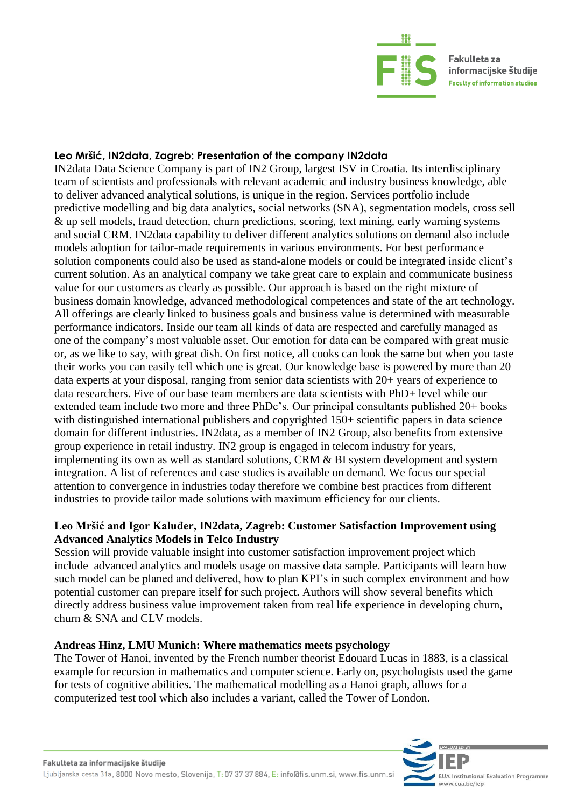

#### **Leo Mršić, IN2data, Zagreb: Presentation of the company [IN2data](http://www.in2data.hr/)**

IN2data Data Science Company is part of IN2 Group, largest ISV in Croatia. Its interdisciplinary team of scientists and professionals with relevant academic and industry business knowledge, able to deliver advanced analytical solutions, is unique in the region. Services portfolio include predictive modelling and big data analytics, social networks (SNA), segmentation models, cross sell & up sell models, fraud detection, churn predictions, scoring, text mining, early warning systems and social CRM. IN2data capability to deliver different analytics solutions on demand also include models adoption for tailor-made requirements in various environments. For best performance solution components could also be used as stand-alone models or could be integrated inside client's current solution. As an analytical company we take great care to explain and communicate business value for our customers as clearly as possible. Our approach is based on the right mixture of business domain knowledge, advanced methodological competences and state of the art technology. All offerings are clearly linked to business goals and business value is determined with measurable performance indicators. Inside our team all kinds of data are respected and carefully managed as one of the company's most valuable asset. Our emotion for data can be compared with great music or, as we like to say, with great dish. On first notice, all cooks can look the same but when you taste their works you can easily tell which one is great. Our knowledge base is powered by more than 20 data experts at your disposal, ranging from senior data scientists with 20+ years of experience to data researchers. Five of our base team members are data scientists with PhD+ level while our extended team include two more and three PhDc's. Our principal consultants published 20+ books with distinguished international publishers and copyrighted 150+ scientific papers in data science domain for different industries. IN2data, as a member of IN2 Group, also benefits from extensive group experience in retail industry. IN2 group is engaged in telecom industry for years, implementing its own as well as standard solutions, CRM & BI system development and system integration. A list of references and case studies is available on demand. We focus our special attention to convergence in industries today therefore we combine best practices from different industries to provide tailor made solutions with maximum efficiency for our clients.

# **Leo Mršić and Igor Kaluđer, IN2data, Zagreb: Customer Satisfaction Improvement using Advanced Analytics Models in Telco Industry**

Session will provide valuable insight into customer satisfaction improvement project which include advanced analytics and models usage on massive data sample. Participants will learn how such model can be planed and delivered, how to plan KPI's in such complex environment and how potential customer can prepare itself for such project. Authors will show several benefits which directly address business value improvement taken from real life experience in developing churn, churn & SNA and CLV models.

# **Andreas Hinz, LMU Munich: Where mathematics meets psychology**

The Tower of Hanoi, invented by the French number theorist Edouard Lucas in 1883, is a classical example for recursion in mathematics and computer science. Early on, psychologists used the game for tests of cognitive abilities. The mathematical modelling as a Hanoi graph, allows for a computerized test tool which also includes a variant, called the Tower of London.

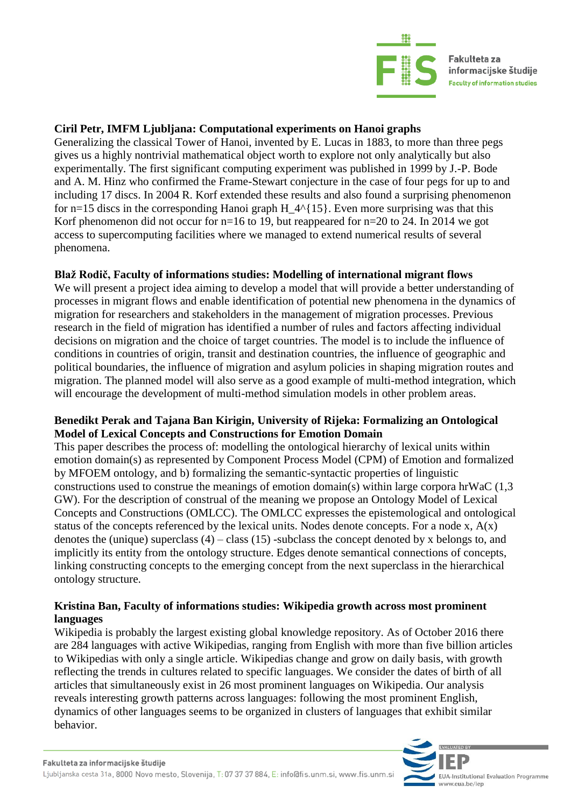

Fakulteta za informacijske študije **Faculty of information studies** 

# **Ciril Petr, IMFM Ljubljana: Computational experiments on Hanoi graphs**

Generalizing the classical Tower of Hanoi, invented by E. Lucas in 1883, to more than three pegs gives us a highly nontrivial mathematical object worth to explore not only analytically but also experimentally. The first significant computing experiment was published in 1999 by J.-P. Bode and A. M. Hinz who confirmed the Frame-Stewart conjecture in the case of four pegs for up to and including 17 discs. In 2004 R. Korf extended these results and also found a surprising phenomenon for n=15 discs in the corresponding Hanoi graph H  $4^{(15)}$ . Even more surprising was that this Korf phenomenon did not occur for n=16 to 19, but reappeared for n=20 to 24. In 2014 we got access to supercomputing facilities where we managed to extend numerical results of several phenomena.

# **Blaž Rodič, Faculty of informations studies: Modelling of international migrant flows**

We will present a project idea aiming to develop a model that will provide a better understanding of processes in migrant flows and enable identification of potential new phenomena in the dynamics of migration for researchers and stakeholders in the management of migration processes. Previous research in the field of migration has identified a number of rules and factors affecting individual decisions on migration and the choice of target countries. The model is to include the influence of conditions in countries of origin, transit and destination countries, the influence of geographic and political boundaries, the influence of migration and asylum policies in shaping migration routes and migration. The planned model will also serve as a good example of multi-method integration, which will encourage the development of multi-method simulation models in other problem areas.

# **Benedikt Perak and Tajana Ban Kirigin, University of Rijeka: Formalizing an Ontological Model of Lexical Concepts and Constructions for Emotion Domain**

This paper describes the process of: modelling the ontological hierarchy of lexical units within emotion domain(s) as represented by Component Process Model (CPM) of Emotion and formalized by MFOEM ontology, and b) formalizing the semantic-syntactic properties of linguistic constructions used to construe the meanings of emotion domain(s) within large corpora hrWaC (1,3 GW). For the description of construal of the meaning we propose an Ontology Model of Lexical Concepts and Constructions (OMLCC). The OMLCC expresses the epistemological and ontological status of the concepts referenced by the lexical units. Nodes denote concepts. For a node x,  $A(x)$ denotes the (unique) superclass  $(4)$  – class  $(15)$  -subclass the concept denoted by x belongs to, and implicitly its entity from the ontology structure. Edges denote semantical connections of concepts, linking constructing concepts to the emerging concept from the next superclass in the hierarchical ontology structure.

# **Kristina Ban, Faculty of informations studies: Wikipedia growth across most prominent languages**

Wikipedia is probably the largest existing global knowledge repository. As of October 2016 there are 284 languages with active Wikipedias, ranging from English with more than five billion articles to Wikipedias with only a single article. Wikipedias change and grow on daily basis, with growth reflecting the trends in cultures related to specific languages. We consider the dates of birth of all articles that simultaneously exist in 26 most prominent languages on Wikipedia. Our analysis reveals interesting growth patterns across languages: following the most prominent English, dynamics of other languages seems to be organized in clusters of languages that exhibit similar behavior.